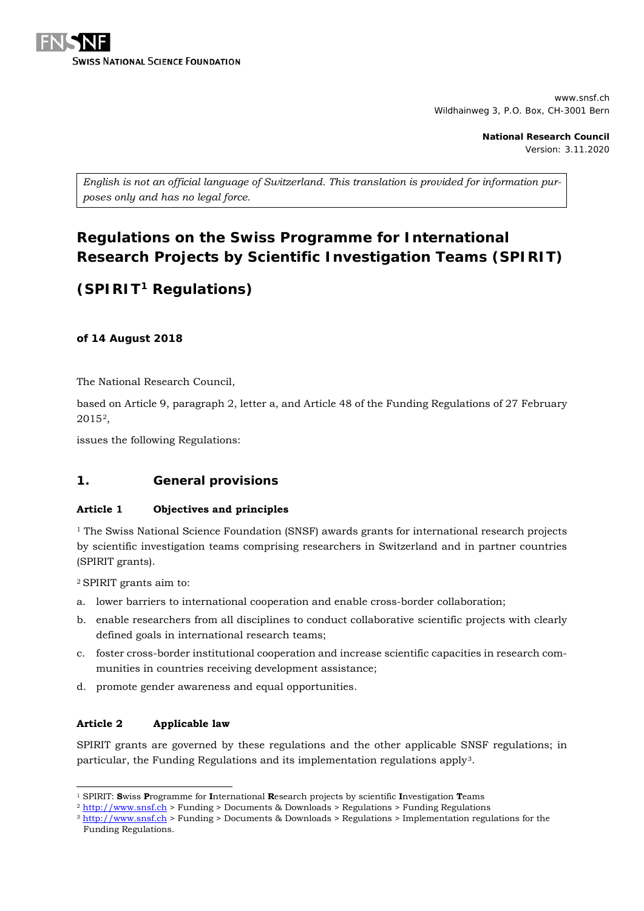

www.snsf.ch Wildhainweg 3, P.O. Box, CH-3001 Bern

> **National Research Council** Version: 3.11.2020

*English is not an official language of Switzerland. This translation is provided for information purposes only and has no legal force.*

# **Regulations on the Swiss Programme for International Research Projects by Scientific Investigation Teams (SPIRIT)**

# **(SPIRIT[1](#page-0-0) Regulations)**

**of 14 August 2018**

The National Research Council,

based on Article 9, paragraph 2, letter a, and Article 48 of the Funding Regulations of 27 February 2015[2,](#page-0-1)

issues the following Regulations:

# **1. General provisions**

# **Article 1 Objectives and principles**

<sup>1</sup> The Swiss National Science Foundation (SNSF) awards grants for international research projects by scientific investigation teams comprising researchers in Switzerland and in partner countries (SPIRIT grants).

2 SPIRIT grants aim to:

- a. lower barriers to international cooperation and enable cross-border collaboration;
- b. enable researchers from all disciplines to conduct collaborative scientific projects with clearly defined goals in international research teams;
- c. foster cross-border institutional cooperation and increase scientific capacities in research communities in countries receiving development assistance;
- d. promote gender awareness and equal opportunities.

# **Article 2 Applicable law**

SPIRIT grants are governed by these regulations and the other applicable SNSF regulations; in particular, the Funding Regulations and its implementation regulations apply<sup>[3](#page-0-2)</sup>.

 <sup>1</sup> SPIRIT: **S**wiss **P**rogramme for **I**nternational **R**esearch projects by scientific **I**nvestigation **T**eams

<span id="page-0-2"></span><span id="page-0-1"></span><span id="page-0-0"></span><sup>2</sup> [http://www.snsf.ch](http://www.snsf.ch/) > Funding > Documents & Downloads > Regulations > Funding Regulations

<sup>3</sup> [http://www.snsf.ch](http://www.snsf.ch/) > Funding > Documents & Downloads > Regulations > Implementation regulations for the Funding Regulations.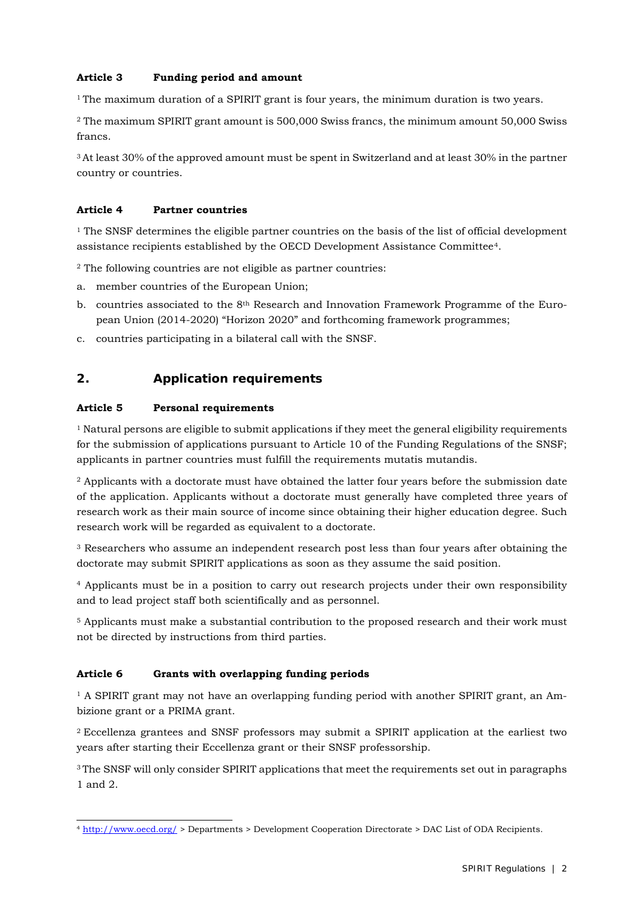# **Article 3 Funding period and amount**

<sup>1</sup> The maximum duration of a SPIRIT grant is four years, the minimum duration is two years.

<sup>2</sup> The maximum SPIRIT grant amount is 500,000 Swiss francs, the minimum amount 50,000 Swiss francs.

3 At least 30% of the approved amount must be spent in Switzerland and at least 30% in the partner country or countries.

## **Article 4 Partner countries**

 $<sup>1</sup>$  The SNSF determines the eligible partner countries on the basis of the list of official development</sup> assistance recipients established by the OECD Development Assistance Committee[4.](#page-1-0)

<sup>2</sup> The following countries are not eligible as partner countries:

- a. member countries of the European Union;
- b. countries associated to the 8th Research and Innovation Framework Programme of the European Union (2014-2020) "Horizon 2020" and forthcoming framework programmes;
- c. countries participating in a bilateral call with the SNSF.

# **2. Application requirements**

## **Article 5 Personal requirements**

<sup>1</sup> Natural persons are eligible to submit applications if they meet the general eligibility requirements for the submission of applications pursuant to Article 10 of the Funding Regulations of the SNSF; applicants in partner countries must fulfill the requirements mutatis mutandis.

<sup>2</sup> Applicants with a doctorate must have obtained the latter four years before the submission date of the application. Applicants without a doctorate must generally have completed three years of research work as their main source of income since obtaining their higher education degree. Such research work will be regarded as equivalent to a doctorate.

<sup>3</sup> Researchers who assume an independent research post less than four years after obtaining the doctorate may submit SPIRIT applications as soon as they assume the said position.

<sup>4</sup> Applicants must be in a position to carry out research projects under their own responsibility and to lead project staff both scientifically and as personnel.

<sup>5</sup> Applicants must make a substantial contribution to the proposed research and their work must not be directed by instructions from third parties.

# **Article 6 Grants with overlapping funding periods**

<sup>1</sup> A SPIRIT grant may not have an overlapping funding period with another SPIRIT grant, an Ambizione grant or a PRIMA grant.

2 Eccellenza grantees and SNSF professors may submit a SPIRIT application at the earliest two years after starting their Eccellenza grant or their SNSF professorship.

<sup>3</sup> The SNSF will only consider SPIRIT applications that meet the requirements set out in paragraphs 1 and 2.

<span id="page-1-0"></span> <sup>4</sup> <http://www.oecd.org/> > Departments > Development Cooperation Directorate > DAC List of ODA Recipients.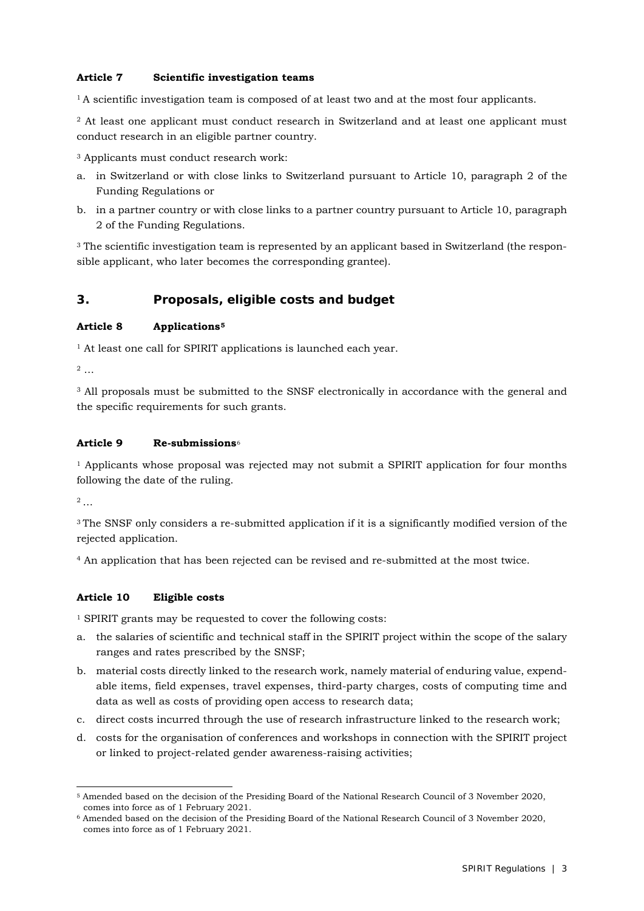## **Article 7 Scientific investigation teams**

 $1A$  scientific investigation team is composed of at least two and at the most four applicants.

<sup>2</sup> At least one applicant must conduct research in Switzerland and at least one applicant must conduct research in an eligible partner country.

<sup>3</sup> Applicants must conduct research work:

- a. in Switzerland or with close links to Switzerland pursuant to Article 10, paragraph 2 of the Funding Regulations or
- b. in a partner country or with close links to a partner country pursuant to Article 10, paragraph 2 of the Funding Regulations.

<sup>3</sup> The scientific investigation team is represented by an applicant based in Switzerland (the responsible applicant, who later becomes the corresponding grantee).

# **3. Proposals, eligible costs and budget**

#### **Article 8 Applications[5](#page-2-0)**

<sup>1</sup> At least one call for SPIRIT applications is launched each year.

<sup>2</sup> …

<sup>3</sup> All proposals must be submitted to the SNSF electronically in accordance with the general and the specific requirements for such grants.

## **Article 9 Re-submissions**[6](#page-2-1)

<sup>1</sup> Applicants whose proposal was rejected may not submit a SPIRIT application for four months following the date of the ruling.

 $2 \ldots$ 

<sup>3</sup> The SNSF only considers a re-submitted application if it is a significantly modified version of the rejected application.

<sup>4</sup> An application that has been rejected can be revised and re-submitted at the most twice.

#### **Article 10 Eligible costs**

<sup>1</sup> SPIRIT grants may be requested to cover the following costs:

- a. the salaries of scientific and technical staff in the SPIRIT project within the scope of the salary ranges and rates prescribed by the SNSF;
- b. material costs directly linked to the research work, namely material of enduring value, expendable items, field expenses, travel expenses, third-party charges, costs of computing time and data as well as costs of providing open access to research data;
- c. direct costs incurred through the use of research infrastructure linked to the research work;
- d. costs for the organisation of conferences and workshops in connection with the SPIRIT project or linked to project-related gender awareness-raising activities;

<span id="page-2-0"></span> <sup>5</sup> Amended based on the decision of the Presiding Board of the National Research Council of 3 November 2020, comes into force as of 1 February 2021.

<span id="page-2-1"></span><sup>6</sup> Amended based on the decision of the Presiding Board of the National Research Council of 3 November 2020, comes into force as of 1 February 2021.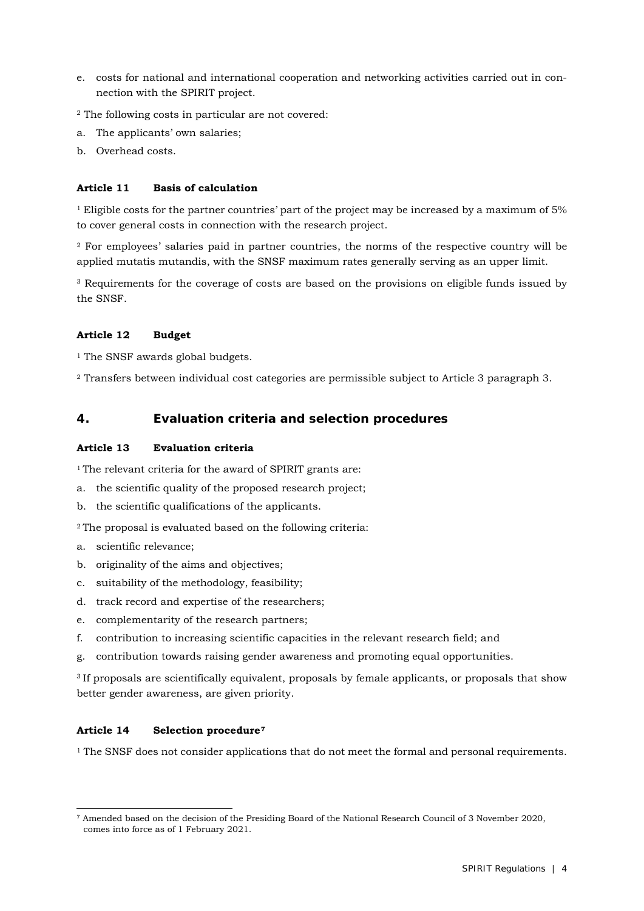- e. costs for national and international cooperation and networking activities carried out in connection with the SPIRIT project.
- <sup>2</sup> The following costs in particular are not covered:
- a. The applicants' own salaries;
- b. Overhead costs.

#### **Article 11 Basis of calculation**

<sup>1</sup> Eligible costs for the partner countries' part of the project may be increased by a maximum of 5% to cover general costs in connection with the research project.

<sup>2</sup> For employees' salaries paid in partner countries, the norms of the respective country will be applied mutatis mutandis, with the SNSF maximum rates generally serving as an upper limit.

<sup>3</sup> Requirements for the coverage of costs are based on the provisions on eligible funds issued by the SNSF.

## **Article 12 Budget**

<sup>1</sup> The SNSF awards global budgets.

<sup>2</sup> Transfers between individual cost categories are permissible subject to Article 3 paragraph 3.

# **4. Evaluation criteria and selection procedures**

## **Article 13 Evaluation criteria**

<sup>1</sup> The relevant criteria for the award of SPIRIT grants are:

- a. the scientific quality of the proposed research project;
- b. the scientific qualifications of the applicants.

<sup>2</sup> The proposal is evaluated based on the following criteria:

- a. scientific relevance;
- b. originality of the aims and objectives;
- c. suitability of the methodology, feasibility;
- d. track record and expertise of the researchers;
- e. complementarity of the research partners;
- f. contribution to increasing scientific capacities in the relevant research field; and
- g. contribution towards raising gender awareness and promoting equal opportunities.

<sup>3</sup> If proposals are scientifically equivalent, proposals by female applicants, or proposals that show better gender awareness, are given priority.

# **Article 14 Selection procedure[7](#page-3-0)**

 $<sup>1</sup>$  The SNSF does not consider applications that do not meet the formal and personal requirements.</sup>

<span id="page-3-0"></span> <sup>7</sup> Amended based on the decision of the Presiding Board of the National Research Council of 3 November 2020, comes into force as of 1 February 2021.